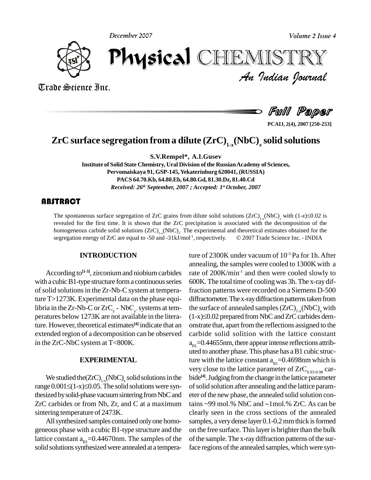**December 2007**



*Volume 2 Issue 4*<br>IISTRY<br>*Indian Oournal* December 2007 CHEMISTRY

Trade Science Inc. Trade Science Inc.

Full Paper

**PCAIJ, 2(4), 2007 [250-253]**

## **ZrC surface segregation from a dilute (ZrC) 1-***x***(NbC)** *<sup>x</sup>* **solid solutions**

**S.V.Rempel\*, A.I.Gusev**

**Institute of Solid State Chemistry, Ural Division of the RussianAcademy of Sciences, Pervomaiskaya 91, GSP-145,Yekaterinburg 620041, (RUSSIA) PACS 64.70.Kb, 64.80.Eb, 64.80.Gd, 81.30.Dz, 81.40.Cd** *Received: 26 th September, 2007 ; Accepted: 1 st October, 2007*

#### **ABSTRACT**

The spontaneous surface<br>revealed for the first tir<br>homogeneous carbide so **TRACT**<br>The spontaneous surface segregation of ZrC grains from dilute solid solutions  $(ZrC)_{1.x} (NbC)_x$  with  $(1-x) \le 0.02$  is revealed for the first time. It is shown that the ZrC precipitation is associated with the decomposition of the<br>homogeneous carbide solid solutions  $(ZrC)_{1-x} (NbC)_x$ . The experimental and theoretical estimates obtained for homogeneous carbide solid solutions  $(ZrC)_{1-x}$ (NbC)<sub>x</sub>. The experimental and theoretical estimates obtained for the segregation energy of  $ZrC$  are equal to -50 and -31kJ/mol<sup>-1</sup>, resp

#### **INTRODUCTION**

According to<sup>[1-3]</sup>, zirconium and niobium carbides rate with a cubic  $B1$ -type structure form a continuous series of solid solutions in the Zr-Nb-C system at temperature T>1273K. Experimental data on the phase equiof solid solutions in the Zr-Nb-C system at temp<br>ture T>1273K. Experimental data on the phase e<br>libria in the Zr-Nb-C or ZrC<sub>y</sub> - NbC<sub>y</sub>, systems at ture 1>1275K. Experimental data on the phase equi-<br>libria in the Zr-Nb-C or  $ZrC_y$  - NbC<sub>y</sub>, systems at tem-<br>peratures below 1273K are not available in the litera- (1-x ture. However, theoretical estimates **[4]** indicate that an extended region of a decomposition can be observed in the ZrC-NbC system at T<800K.

#### **EXPERIMENTAL**

We studied the  $(ZrC)_{1-x}$ (NbC)<sub>x</sub> solid solutions in the bide<sup>[4]</sup> range  $0.001 \le (1-x) \le 0.05$ . The solid solutions were synthesized by solid-phase vacuum sintering from NbC and  $ZrC$  carbides or from Nb,  $Zr$ , and  $C$  at a maximum sintering temperature of 2473K.

Allsynthesized samples contained onlyone homo geneous phase with a cubicB1-type structure and the lattice constant  $a_{B1}=0.44670$ nm. The samples of the solid solutions synthesized were annealed at a tempera-

ture of 2300K under vacuum of 10 -3 Pa for 1h.After annealing, the samples were cooled to 1300K with a rate of 200K/min<sup>-1</sup> and then were cooled slowly to 600K.The total time of coolingwas 3h.The x-raydiffraction patterns were recorded on a Siemens D-500 diffractometer. The x-ray diffraction patterns taken from the surface of annealed samples  $(ZrC)_{1-x} (NbC)_{x}$  with diffractometer. The x-ray diffraction patterns taken from<br>the surface of annealed samples  $(ZrC)_{1-x} (NbC)_x$  with<br>(1-x)≤0.02 prepared from NbC and ZrC carbides demonstrate that, apart from the reflections assigned to the carbide solid solition with the lattice constant  $a_{B1}=0.44655$ nm, there appear intense reflections attributed to another phase. This phase has a B1 cubic structure with the lattice constant  $a_{BI} = 0.4698$ nm which is very close to the lattice parameter of  $ZrC_{0.93-0.98}$  carbide<sup>[4]</sup>. Judging from the change in the lattice parameter ofsolid solution after annealing and the lattice param eter of the new phase, the annealed solid solution contains  $\sim$ 99 mol.% NbC and  $\sim$ 1mol.% ZrC. As can be clearly seen in the cross sections of the annealed samples, a very dense layer 0.1-0.2 mm thick is formed on the free surface. This layer is brighter than the bulk of the sample. The x-ray diffraction patterns of the surface regions of the annealed samples, which were syn-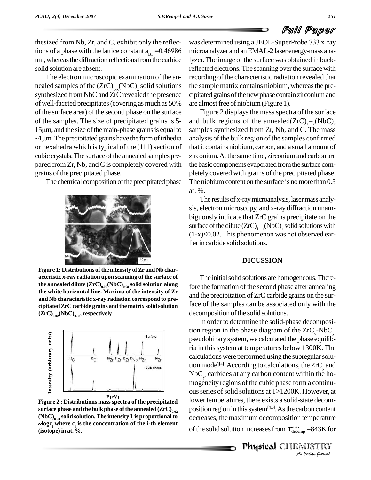## Full Paper

thesized from Nb, Zr, and C, exhibit only the reflections of a phase with the lattice constant  $a_{B1} = 0.46986$ nm, whereas the diffraction reflections from the carbide solid solution are absent.

The electron microscopic examination of the an nealed samples of the  $(ZrC)_{1-x} (NbC)_x$  solid solutions the s synthesized from NbC and ZrC revealed the presence of well-faceted precipitates(covering asmuch as 50% of the surface area) of the second phase on the surface of the samples. The size of precipitated grains is 5 of the surface area) of the second phase on the surface Fig<br>of the samples. The size of precipitated grains is 5- and bu<br>15µm, and the size of the main-phase grains is equal to sample f the samples. The size of precipitated grains is 5- and b 5µm, and the size of the main-phase grains is equal to sampl 1µm. The precipitated grains have the form of trihedra analys or hexahedra which is typical of the  $(111)$  section of cubic crystals. The surface of the annealed samples prepared from Zr, Nb, and C is completely covered with grains of the precipitated phase.

The chemical composition of the precipitated phase



 ${\bf 0}$  **the annealed dilute**  ${\rm (ZrC)}_{0.02} {\rm (NbC)}_{0.98}$  **solid solution along**  ${\rm 0}$ **the white horizontal line. Maxima of the intensity of Zr and Nb characteristic x-ray radiation correspond to pre cipitatedZrC carbide grains and the matrix solid solution (ZrC) 0.02(NbC) 0.98 , respectively**



**Figure 2 : Distributions massspectra of the precipitated**  $\mathbf{S}$  **surface** phase and the bulk phase of the annealed  $\mathbf{(ZrC)}_{0.02}$  $\textbf{C}^{\textbf{D}}$  **(NbC)**<sub>0.98</sub> solid solution. The intensity **I**<sub>1</sub> is proportional to decidently **logc <sup>i</sup> where c <sup>i</sup> is the concentration of the i-th element (isotope) in at. %.**

was determined using <sup>a</sup> JEOL-SuperProbe <sup>733</sup> x-ray microanalyzer and anEMAL-2 laser energy-mass analyzer.The image of the surface was obtained in backreflected electrons. The scanning over the surface with recording of the characteristic radiation revealed that the sample matrix contains niobium, whereas the precipitated grains of the new phase contain zirconium and are almost free of niobium (Figure 1).

Figure 2 displays the mass spectra of the surface are almost free of niobium (Figure 1).<br>Figure 2 displays the mass spectra of the surface<br>and bulk regions of the annealed( $ZrC$ )<sub>1</sub>-<sub>x</sub>(NbC)<sub>x</sub> samples synthesized from Zr, Nb, and C. The mass analysis of the bulk region of the samples confirmed that it contains niobium, carbon, and a small amount of zirconium.At the same time, zirconiumand carbon are the basic components evaporated from the surface completely covered with grains of the precipitated phase. The niobium content on the surface is no more than  $0.5$ at. %.

The results of x-ray microanalysis, laser mass analysis, electron microscopy, and x-ray diffraction unam biguously indicate that ZrC grains precipitate on the sis, electron microscopy, and x-ray diffraction unam-<br>biguously indicate that ZrC grains precipitate on the<br>surface of the dilute  $(ZrC)_{1-x} (NbC)_{x}$  solid solutions with biguously indicate that ZrC grains precipitate on the<br>surface of the dilute  $(ZrC)_{1-x} (NbC)_x$  solid solutions with<br>(1-x)≤0.02. This phenomenon was not observed earlier in carbide solid solutions.

#### **DICUSSION**

The initial solid solutions are homogeneous. Therefore the formation of the second phase after annealing and the precipitation of ZrC carbide grains on the surface of the samples can be associated only with the decomposition of the solid solutions.

lower temperatures, there exists a solid-state decom-*Indian*<br>*Imperature*<br>*P*=843K for<br>*IISTRY*<br>*Indian Iournal* In order to determine the solid-phase decomposition region in the phase diagram of the  $ZrC_y$ -NbC<sub>y</sub>, In order to determine the solid-phase decomposition region in the phase diagram of the  $ZrC_y$ -NbC<sub>y</sub>, pseudobinary system, we calculated the phase equilibria in thissystem at temperatures below 1300K. The calculationswere performed using the subregularsolution model<sup>[4]</sup>. According to calculations, the  $\operatorname{ZrC}_y$  and  $NbC_{v}$  carbides at  $WbC<sub>y</sub>$ , carbides at any carbon content within the homogeneity regions of the cubic phase form a continuous series of solid solutions at T>1200K. However, at position region in this system<sup>[4,5]</sup>. As the carbon content decreases, the maximum decomposition temperature of the solid solution increases from  $T_{\text{decomp}}^{\text{max}} = 843$ K for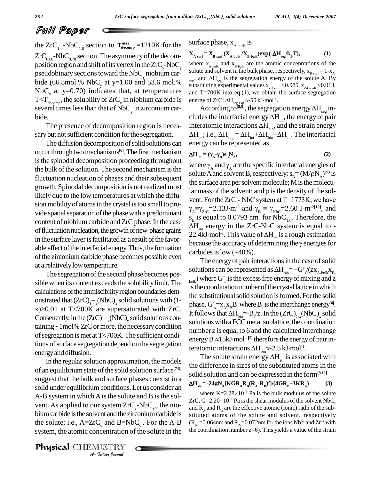### Full Paper

the  $ZrC_{1.0}NbC_{1.0}$  section to  $T_{\text{decomp}}^{\text{max}} =1210K$  for the surfact  $ZrC_{0.60}NbC_{0.70}$  section. The asymmetry of the decom-<br>position region and shift of its vertex in the  $ZrC_{\nu}NbC_{\nu}$ pseudobinary sections toward the NbC<sub>y</sub> niobium car-<br>and  $\frac{1}{2}$ bide (66.8mol.% NbC<sub>y</sub> at y=1.00 and 53.6 mol.% surf<sup>3</sup> did  $\frac{\text{Suff}^2}{\text{substituting exp}}$ NbC<sub>y</sub> at y=0.70) indicates that, at temperatures and 1  $T < T_{\text{decomp}}$ , the solubility of  $ZrC_y$  in niobium carbide is energ several times less than that of  $NbC<sub>y</sub>$  in zirconium car-<br>Acc bide.<br>The presence of decomposition region is neces-

sary but not sufficient condition for the segregation.

The diffusion decomposition of solid solutions can occur through two mechanisms<sup>[6]</sup>. The first mechanism  $\mathbf{A}\mathbf{H} = (\mathbf{v} - \mathbf{v})$ is the spinodal decomposition proceeding throughout the bulk of the solution. The second mechanism is the fluctuation nucleation of phases and their subsequent growth. Spinodal decomposition is not realized most likely due to the low temperatures at which the diffu sion mobility of atoms in the crystal is too small to provide spatial separation of the phase with a predominant content of niobium carbide and ZrC phase. In the case  $\Delta H_{\text{int}}$  energy in the ZrC-NbC system is equal to of fluctuation nucleation, the growth of new-phase grains able effect of the interfacial energy. Thus, the formation carbides is low  $(\sim 40\%)$ . of the zirconium carbide phase becomes possible even at a relatively low temperature.

The segregation of the second phase becomes possible when its content exceeds the solubility limit. The calculations of the immiscibility region boundaries demsible when its content exceeds the sc<br>calculations of the immiscibility regio<br>onstrated that  $(ZrC)_{1-x} (NbC)_{x}$  solid calculations of the immiscibility region boundaries demonstrated that  $(ZrC)_{1-x}$ (NbC)<sub>x</sub> solid solutions with (1-<br>x)≥0.01 at T<700K are supersaturated with ZrC. onstrated that  $(ZrC)_{1-x} (NbC)_x$  solid solutions with (1-<br>x) ≥0.01 at T<700K are supersaturated with ZrC.<br>Conseuently, in the  $(ZrC)_{1-x} (NbC)_x$  solid solutions conx)  $\geq$ 0.01 at T<700K are supersaturated with ZrC.<br>Conseuently, in the  $(ZrC)_{1-x}$ (NbC)<sub>x</sub> solid solutions containing ~1 mol% ZrC or more, the necessary condition of segregation is met at  $T < 700K$ . The sufficient conditions of surface segregation depend on the segregation energyand diffusion.

vent. As applied to our system  $ZrC_y$ -NbC<sub>y</sub>, the nio-*I*r system ZrC<br>ent and the zimple and B=Nt<br>**Indian bournal**<br>Indian bournal In the regular solution approximation, the models of an equilibrium state of the solid solution surface<sup>[7-9]</sup> suggest that the bulk and surface phases coexist in a solid under equilibrium conditions. Let us consider an  $A-B$  system in which  $A$  is the solute and  $B$  is the sol-A-B system in which A is the solute and B is the sol-<br>vent. As applied to our system  $ZrC_y$ -NbC<sub>y</sub>, the nio-<br>bium carbide is the solvent and the zirconium carbide is stitute vent. As applied to our system  $ZrC_y-NbC_y$ , the ni<br>bium carbide is the solvent and the zirconium carbide<br>the solute; i.e.,  $A=ZrC_y$  and  $B=NbC_y$ . For the A where the atom carbide is stituted at  $y$  and  $B = NbC_y$ . For the A-B  $(R_{Nb} = 0.064)$ system, the atomic concentration of the solute in the

Physical CHEMISTRY

surface phase,  $X_{A\text{-surf}}$  is

surface phase, 
$$
X_{A\text{-surf}}
$$
, is  
\n
$$
X_{A\text{-surf}} = X_{B\text{-surf}} (X_{A\text{-bulk}}/X_{B\text{-bulk}}) \exp(-\Delta H_{seg}/k_B T),
$$
\n(1)

 $\text{y-NbC}_y$  where  $\text{X}_{\text{A-bulk}}$  and  $\text{X}_{\text{B-bulk}}$  are the atomic concentrations of the solute and solvent in the bulk phase, respectively,  $\text{X}_{\text{B-surf}} = 1-\text{X}_{\text{A}}$ .<br>mol % surf, and  $\Delta H_{\text{seg}}$  is the segregation ener solute and solvent in the bulk phase, respectively,  $x_{B-surf} = 1-x_{A-t}$  $\sum_{\text{surf}}$ , and  $\Delta H_{\text{seg}}$  is the segregation energy of the solute A. By solute and solvent in the bulk phase, respectively,  $x_{B-surt} = 1-x_A$ .<br>
surf, and  $\Delta H_{seg}$  is the segregation energy of the solute A. By substituting experimental values  $x_{Z_{tC-surt}} \approx 0.985$ ,  $x_{Z_{tC-bulk}} \approx 0.013$ , and T=700K in substituting experimental values  $x_{ZrC\text{-surf}} \approx$ <br>and T=700K into eq.(1), we obtain the<br>energy of ZrC:  $\Delta H_{seg\text{-exp}} \approx$ -50 kJ·mol<sup>-1</sup>. -1 . T=700K into eq.(1), we obtain the surface segregation<br>gy of ZrC:  $\Delta H_{\text{age-exp}} \approx -50 \text{ kJ} \cdot \text{mol}^{-1}$ .<br>According to<sup>[8,9]</sup>, the segregation energy  $\Delta H_{\text{seg}}$  in-

energy of ZrC:  $\Delta H_{\text{see exp}} \approx 50 \text{ kJ} \cdot \text{mol}^{-1}$ .<br>According to <sup>[8,9]</sup>, the segregation energy  $\Delta H_{\text{see}}$  includes the interfacial energy  $\Delta H_{\text{int}}$ , the energy of pair According to<sup>[8,9]</sup>, the segregation<br>cludes the interfacial energy  $\Delta H_{int}$ , t<br>interatomic interactions  $\Delta H_{bin}$ , and interatomic interactions  $\Delta H_{\text{bin}}$ , and the strain energy cludes the interfacial energy  $\Delta H_{int}$ , the energy of pair<br>interatomic interactions  $\Delta H_{bin}$ , and the strain energy<br> $\Delta H_{str}$ ; i.e.,  $\Delta H_{seg} = \Delta H_{int} + \Delta H_{bin} + \Delta H_{str}$ . The interfacial energy can be represented as<br>  $\Delta H_{int} = (\gamma_A - \gamma_B) s_B N_A$ ,

$$
\Delta H_{int} = (\gamma_A - \gamma_B) s_B N_A, \qquad (2)
$$

in the surface layer is facilitated as a result of the favor-<br>because the accuracy of determining the  $\gamma$  energies for energy can be represented as<br>  $\Delta H_{int} = (\gamma_A - \gamma_B) s_B N_A,$  (2)<br>
where  $\gamma_A$  and  $\gamma_A$  are the specific interfacial energies of solute A and solvent B, respectively;  $s_p = (M/pN_A)^{2/3}$  is<br>the surface area per solvent molecule; M is the molecu-<br>lar mass of the solvent; and  $\rho$  is the density of the sol-(2)<br>acial energies of<br> $B_B = (M/\rho N_A)^{2/3}$  is the surface area per solvent molecule; M is the molecuvent. For the ZrC - NbC system at  $T=1773K$ , we have lar mass of the solvent; and  $\rho$  is the density of the sollar mass of the solvent; and  $\rho$  is the density of the solvent. For the ZrC - NbC system at T=1773K, we have  $\gamma_A \equiv \gamma_{ZrC} = 2.13 \text{ J} \cdot \text{m}^{-2}$  and  $\gamma_B \equiv \gamma_{Nbc} = 2.60 \text{ J} \cdot \text{m}^{-2}$  and  $s_{\rm B}$  is equal to 0.0793 nm<sup>2</sup> for NbC<sub>1.0</sub>. Therefore, the  $S_B$  is equal to 0.0793 nm<sup>2</sup> for NbC<sub>1.0</sub>. Therefore, the  $\Delta H_{int}$  energy in the ZrC-NbC system is equal to - 22.4kJ·mol<sup>-1</sup>. This value of  $\Delta H_{int}$  is a rough estimation  $\overline{\Delta H}_{int}$  energy in the ZrC-NbC system is equal to -<br>22.4kJ·mol<sup>-1</sup>. This value of  $\Delta H_{int}$  is a rough estimation<br>because the accuracy of determining the  $\gamma$  energies for 22.4kJ·mol<sup>-1</sup>. This value of  $\Delta$ <br>because the accuracy of deter<br>carbides is low (~40%).

The energy of pair interactions in the case of solid carbides is low (~40%).<br>The energy of pair interactions in the case of solid solutions can be represented as  $\Delta H_{\text{bin}} = -G_{\text{s}}^{\text{e}} / (zX_{\text{A-bulk}}X_{\text{B}})$  $_{\text{bulk}}$ ) where  $\mathrm{G}^\text{e}_{\ \text{s}}$  is the excess free energy of mixing and z is the coordination number of the crystal lattice in which the substitutional solid solution is formed. For the solid is the coordination number of the crystal lattice in which<br>the substitutional solid solution is formed. For the solid<br>phase,  $G^s = x_A x_B B_s$  where  $B_s$  is the interchange energy<sup>[4]</sup>. the substitutional solid solution is formed. For the solid<br>phase,  $G^e_s = x_A x_B B_s$  where  $B_s$  is the interchange energy<sup>[4]</sup>.<br>It follows that  $\Delta H_{bin} = -B_s / z$ . In the  $(ZrC)_{1-x} (NbC)_s$  solid solutions with a FCC metal sublattice, the coordination number z is equal to 6 and the calculated interchange solutions with a FCC metal sublattice, the coordination<br>number z is equal to 6 and the calculated interchange<br>energy B<sub>s</sub>  $\approx$  15kJ·mol<sup>-1[5]</sup> therefore the energy of pair innumber z is equal to 6 and the calculated intercl<br>energy  $B_s \approx 15 \text{ kJ} \cdot \text{mol}^{-15}$  therefore the energy of p<br>teratomic interactions  $\Delta H_{\text{bin}} \approx 2.5 \text{ kJ} \cdot \text{mol}^{-1}$ .

The solute strain energy  $\Delta H_{str}$  is associated with the difference in sizes of the substituted atomsin the solid solution and can be expressed in the form**[9,11] H**e difference in size<br>olid solution and c.<br> $\mathbf{H}_{\text{str}} = -24\pi \mathbf{N}_{\text{A}}[\text{KGR}_{\text{A}}]$ 

$$
\Delta H_{str} = -24\pi N_A [KGR_A R_B (R_A - R_B)^2]/(4GR_B + 3KR_A)
$$
 (3)  
where K=2.28×10<sup>11</sup> Pa is the bulk modulus of the solute

 $\Delta H_{str} = -24\pi N_A [K G K_A K_B (K_A - K_B)^2]/(4G K_B + 3K K_A)$  (3)<br>where K=2.28×10<sup>11</sup> Pa is the bulk modulus of the solute<br>ZrC, G=2.20×10<sup>11</sup> Pa is the shear modulus of the solvent NbC, and  $R_A$  and  $R_B$  are the effective atomic (ionic) radii of the substituted atoms of the solute and solvent, respectively  $(R_{Nb} = 0.064$ nm and  $R_{Zr} = 0.072$ nm for the ions Nb<sup>5+</sup> and Zr<sup>4+</sup> with the coordination number  $z=6$ ). This yields a value of the strain